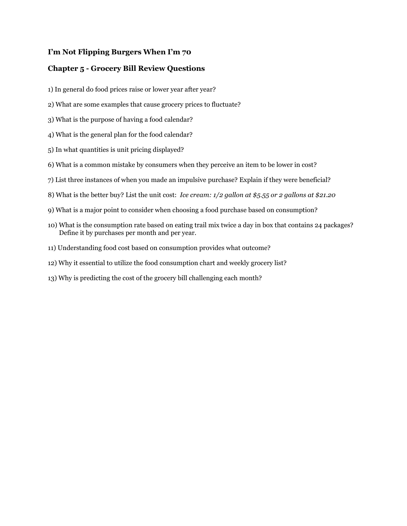## **I'm Not Flipping Burgers When I'm 70**

## **Chapter 5 - Grocery Bill Review Questions**

- 1) In general do food prices raise or lower year after year?
- 2) What are some examples that cause grocery prices to fluctuate?
- 3) What is the purpose of having a food calendar?
- 4) What is the general plan for the food calendar?
- 5) In what quantities is unit pricing displayed?
- 6) What is a common mistake by consumers when they perceive an item to be lower in cost?
- 7) List three instances of when you made an impulsive purchase? Explain if they were beneficial?
- 8) What is the better buy? List the unit cost: *Ice cream: 1/2 gallon at \$5.55 or 2 gallons at \$21.20*
- 9) What is a major point to consider when choosing a food purchase based on consumption?
- 10) What is the consumption rate based on eating trail mix twice a day in box that contains 24 packages? Define it by purchases per month and per year.
- 11) Understanding food cost based on consumption provides what outcome?
- 12) Why it essential to utilize the food consumption chart and weekly grocery list?
- 13) Why is predicting the cost of the grocery bill challenging each month?